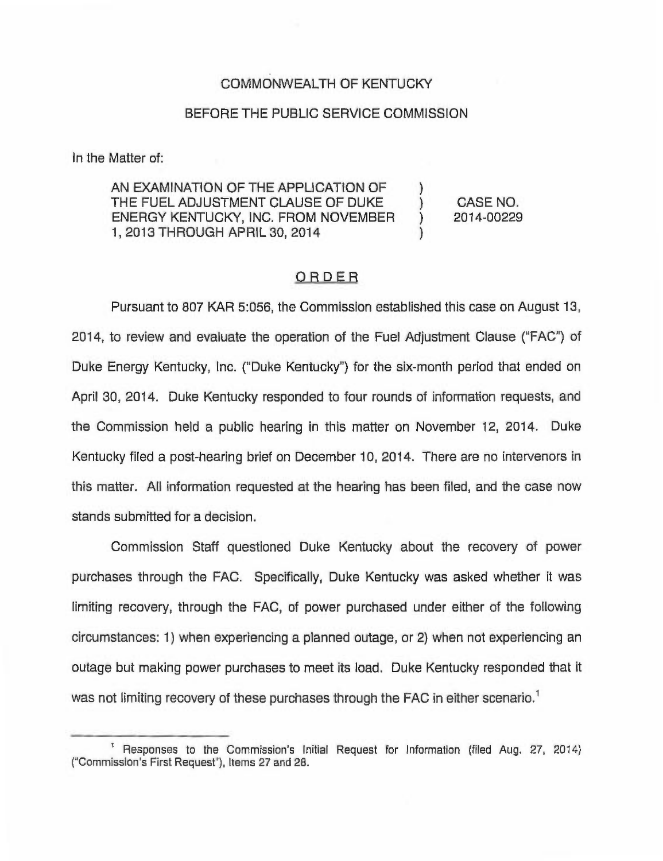# COMMONWEALTH OF KENTUCKY

#### BEFORE THE PUBLIC SERVICE COMMISSION

In the Matter of:

AN EXAMINATION OF THE APPLICATION OF THE FUEL ADJUSTMENT CLAUSE OF DUKE ENERGY KENTUCKY, INC. FROM NOVEMBER 1, 2013 THROUGH APRIL 30, 2014

) CASE NO. ) 2014-00229

)

)

# **ORDER**

Pursuant to 807 KAR 5:056, the Commission established this case on August 13, 2014, to review and evaluate the operation of the Fuel Adjustment Clause ("FAC") of Duke Energy Kentucky, Inc. ("Duke Kentucky") for the six-month period that ended on April 30, 2014. Duke Kentucky responded to four rounds of information requests, and the Commission held a public hearing in this matter on November 12, 2014. Duke Kentucky filed a post-hearing brief on December 10, 2014. There are no intervenors in this matter. All information requested at the hearing has been filed, and the case now stands submitted for a decision.

Commission Staff questioned Duke Kentucky about the recovery of power purchases through the FAC. Specifically, Duke Kentucky was asked whether it was limiting recovery, through the FAC, of power purchased under either of the following circumstances: 1) when experiencing a planned outage, or 2) when not experiencing an outage but making power purchases to meet its load. Duke Kentucky responded that it was not limiting recovery of these purchases through the FAC in either scenario.<sup>1</sup>

<sup>&</sup>lt;sup>1</sup> Responses to the Commission's Initial Request for Information (filed Aug. 27, 2014) ("Commission's First Request"), Items 27 and 28.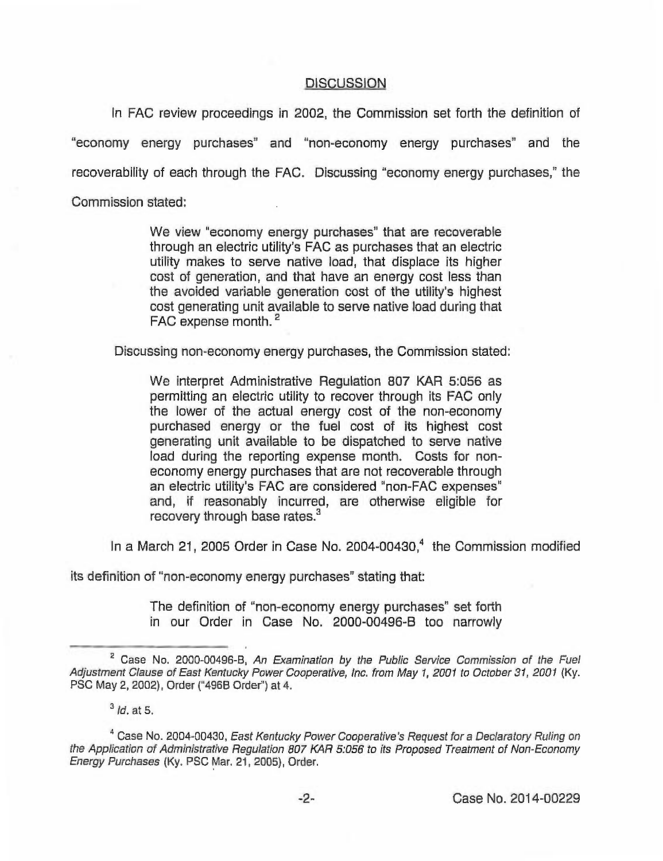### **DISCUSSION**

In FAC review proceedings in 2002, the Commission set forth the definition of "economy energy purchases" and "non-economy energy purchases" and the recoverability of each through the FAC. Discussing "economy energy purchases," the Commission stated:

> We view "economy energy purchases" that are recoverable through an electric utility's FAC as purchases that an electric utility makes to serve native load, that displace its higher cost of generation, and that have an energy cost less than the avoided variable generation cost of the utility's highest cost generating unit available to serve native load during that FAC expense month.<sup>2</sup>

Discussing non-economy energy purchases, the Commission stated:

We interpret Administrative Regulation 807 KAR 5:056 as permitting an electric utility to recover through its FAC only the lower of the actual energy cost of the non-economy purchased energy or the fuel cost of its highest cost generating unit available to be dispatched to serve native load during the reporting expense month. Costs for noneconomy energy purchases that are not recoverable through an electric utility's FAC are considered "non-FAC expenses" and, if reasonably incurred, are otherwise eligible for recovery through base rates. $3$ 

In a March 21, 2005 Order in Case No. 2004-00430, $4$  the Commission modified

its definition of "non-economy energy purchases" stating that:

The definition of "non-economy energy purchases" set forth in our Order in Case No. 2000-00496-B too narrowly

 $2^2$  Case No. 2000-00496-B, An Examination by the Public Service Commission of the Fuel Adjustment Clause of East Kentucky Power Cooperative, inc. from May 1, 200f to October 3t, 200t (Ky. PSC May 2, 2002), Order ("496B Order") at 4.

 $3$  *ld.* at 5.

<sup>&</sup>lt;sup>4</sup> Case No. 2004-00430, East Kentucky Power Cooperative's Request for a Declaratory Ruling on the Application of Administrative Regulation 807 KAR 5:056 to its Proposed Treatment of Non-Economy Energy Purchases (Ky. PSC Mar, 21, 2005), Order.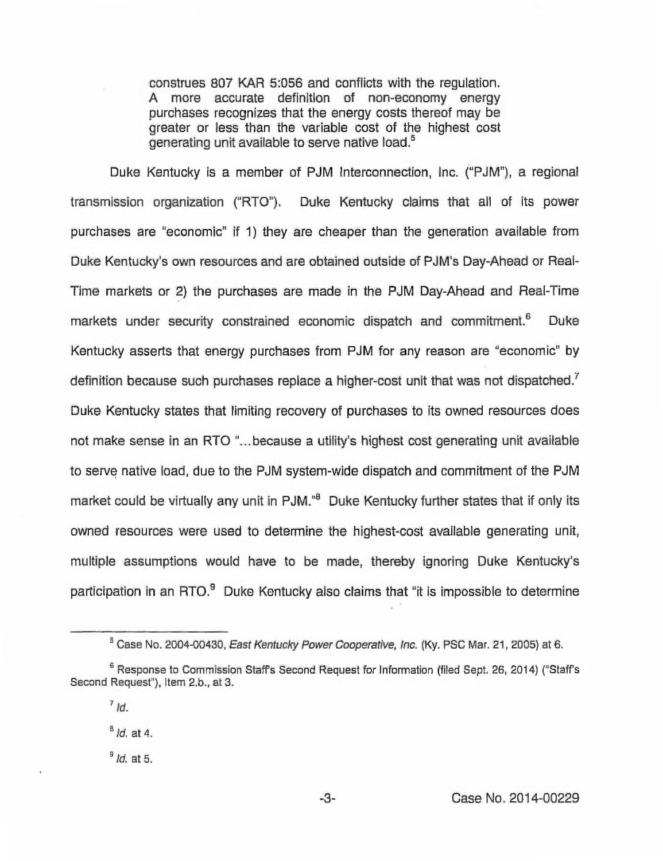construes 807 KAR 5:056 and conflicts with the regulation. A more accurate definition of non-economy energy purchases recognizes that the energy costs thereof may be greater or less than the variable cost of the highest cost generating unit available to serve native load.<sup>5</sup>

Duke Kentucky is a member of PJM Interconnection, Inc. ("PJM"), a regional transmission organization ("RTO"). Duke Kentucky claims that all of its power purchases are "economic" if 1) they are cheaper than the generation available from Duke Kentucky's own resources and are obtained outside of PJM's Day-Ahead or Reai-Time markets or 2) the purchases are made in the PJM Day-Ahead and Real-Time markets under security constrained economic dispatch and commitment.<sup>6</sup> Duke Kentucky asserts that energy purchases from PJM for any reason are "economic" by definition because such purchases replace a higher-cost unit that was not dispatched.<sup>7</sup> Duke Kentucky states that limiting recovery of purchases to its owned resources does not make sense in an RTO "...because a utility's highest cost generating unit available to serve native load, due to the PJM system-wide dispatch and commitment of the PJM market could be virtually any unit in PJM."<sup>8</sup> Duke Kentucky further states that if only its owned resources were used to determine the highest-cost available generating unit, multiple assumptions would have to be made, thereby ignoring Duke Kentucky's participation in an RTO. $9$  Duke Kentucky also claims that "it is impossible to determine

 $B$  *Id.* at 4.

 $<sup>9</sup>$  Id. at 5.</sup>

<sup>&</sup>lt;sup>5</sup> Case No. 2004-00430, East Kentucky Power Cooperative, Inc. (Ky. PSC Mar. 21, 2005) at 6.

<sup>&</sup>lt;sup>6</sup> Response to Commission Staff's Second Request for Information (filed Sept, 26, 2014) ("Staff's Second Request"), Item 2.b., at 3.

 $7/d$ .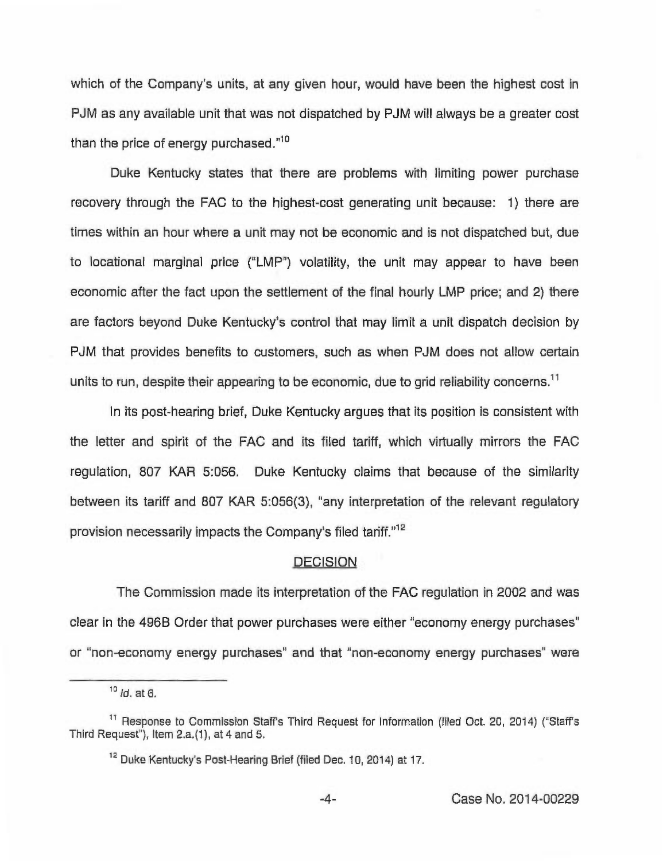which of the Company's units, at any given hour, would have been the highest cost in PJM as any available unit that was not dispatched by PJM will always be a greater cost than the price of energy purchased." $10$ 

Duke Kentucky states that there are problems with limiting power purchase recovery through the FAC to the highest-cost generating unit because: 1) there are times within an hour where a unit may not be economic and is not dispatched but, due to locational marginal price ("LMP") volatility, the unit may appear to have been economic after the fact upon the settlement of the final hourly LMP price; and 2) there are factors beyond Duke Kentucky's control that may limit a unit dispatch decision by PJM that provides benefits to customers, such as when PJM does not allow certain units to run, despite their appearing to be economic, due to grid reliability concerns.<sup>11</sup>

In its post-hearing brief, Duke Kentucky argues that its position is consistent with the letter and spirit of the FAC and its filed tariff, which virtually mirrors the FAC regulation, 807 KAR 5:056. Duke Kentucky claims that because of the similarity between its tariff and 807 KAR 5:056(3), "any interpretation of the relevant regulatory provision necessarily impacts the Company's filed tariff."<sup>12</sup>

### **DECISION**

The Commission made its interpretation of the FAC regulation in 2002 and was clear in the 496B Order that power purchases were either "economy energy purchases" or "non-economy energy purchases" and that "non-economy energy purchases" were

 $10$  *Id.* at 6.

<sup>&</sup>lt;sup>11</sup> Response to Commission Staff's Third Request for Information (filed Oct. 20, 2014) ("Staff's Third Request"), Item  $2.a.(1)$ , at  $4$  and  $5.$ 

<sup>&</sup>lt;sup>12</sup> Duke Kentucky's Post-Hearing Brief (filed Dec, 10, 2014) at 17.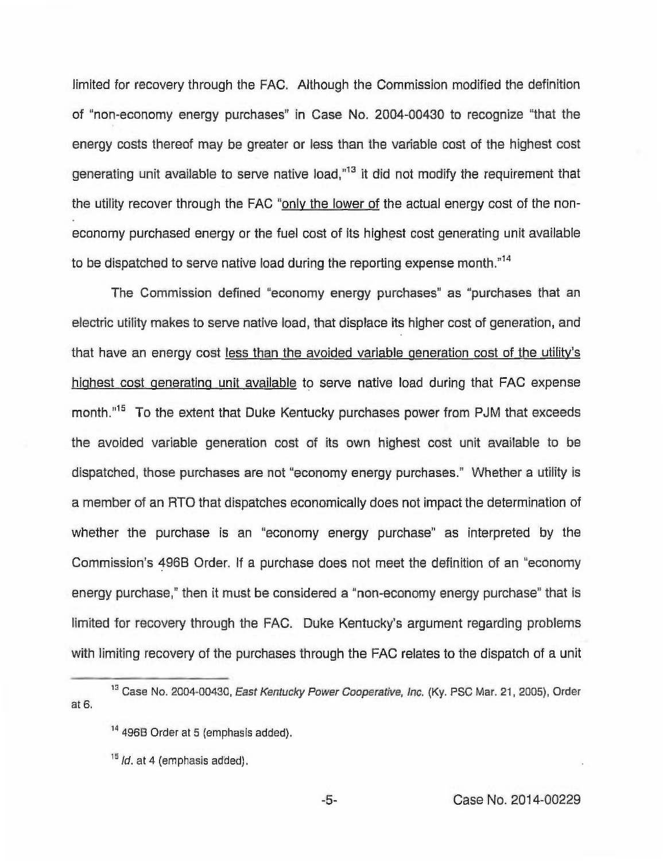limited for recovery through the FAC. Although the Commission modified the definition of "non-economy energy purchases" in Case No. 2004-00430 to recognize "that the energy costs thereof may be greater or less than the variable cost of the highest cost generating unit available to serve native load, $n<sup>13</sup>$  it did not modify the requirement that the utility recover through the FAC "only the lower of the actual energy cost of the noneconomy purchased energy or the fuel cost of its highest cost generating unit available to be dispatched to serve native load during the reporting expense month."<sup>14</sup>

The Commission defined "economy energy purchases" as "purchases that an electric utility makes to serve native load, that displace its higher cost of generation, and that have an energy cost less than the avoided variable generation cost of the utility's highest cost generating unit available to serve native load during that FAC expense month."<sup>15</sup> To the extent that Duke Kentucky purchases power from PJM that exceeds the avoided variable generation cost of its own highest cost unit available to be dispatched, those purchases are not "economy energy purchases." Whether a utility is a member of an RTO that dispatches economically does not impact the determination of whether the purchase is an "economy energy purchase" as interpreted by the Commission's 496B Order. If a purchase does not meet the definition of an "economy energy purchase," then it must be considered a "non-economy energy purchase" that is limited for recovery through the FAC. Duke Kentucky's argument regarding problems with limiting recovery of the purchases through the FAC relates to the dispatch of a unit

at 6. na<br>1<sup>3</sup> Case No. 2004-00430, *East Kentucky Power Cooperative, Inc.* (Ky. PSC Mar. 21, 2005), Orde

<sup>&</sup>lt;sup>14</sup> 496B Order at 5 (emphasis added).

 $15/d$ , at 4 (emphasis added).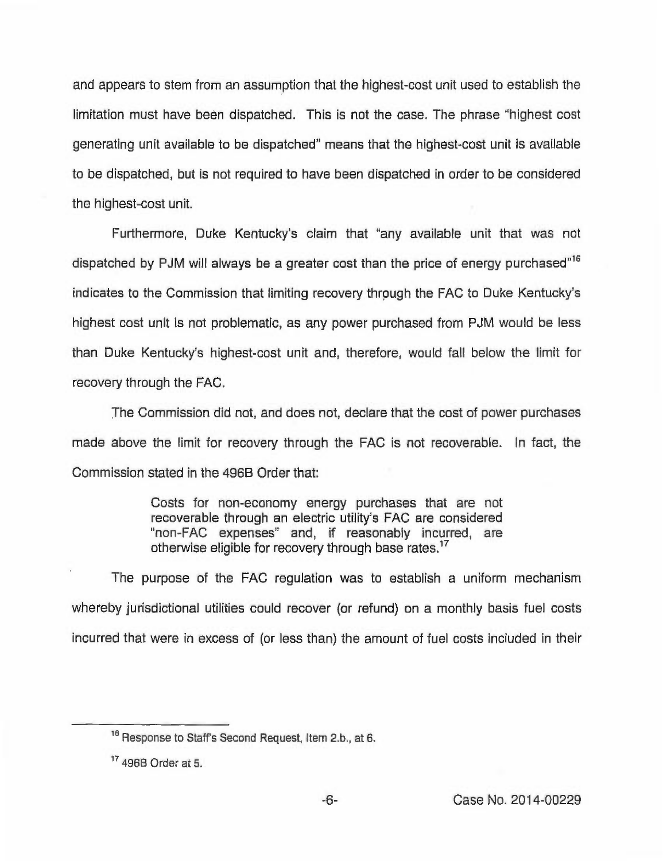and appears to stem from an assumption that the highest-cost unit used to establish the limitation must have been dispatched. This is not the case. The phrase "highest cost generating unit available to be dispatched" means that the highest-cost unit is available to be dispatched, but is not required to have been dispatched in order to be considered the highest-cost unit.

Furthermore, Duke Kentucky's claim that "any available unit that was not dispatched by PJM will always be a greater cost than the price of energy purchased"<sup>16</sup> indicates to the Commission that limiting recovery through the FAC to Duke Kentucky's highest cost unit is not problematic, as any power purchased from PJM would be less than Duke Kentucky's highest-cost unit and, therefore, would fall below the limit for recovery through the FAC.

The Commission did not, and does not, declare that the cost of power purchases made above the limit for recovery through the FAC is not recoverable. In fact, the Commission stated in the 496B Order that:

> Costs for non-economy energy purchases that are not recoverable through an electric utility's FAC are considered "non-FAC expenses" and, if reasonably incurred, are otherwise eligible for recovery through base rates.<sup>17</sup>

The purpose of the FAC regulation was to establish a uniform mechanism whereby jurisdictional utilities could recover (or refund) on a monthly basis fuel costs incurred that were in excess of (or less than) the amount of fuel costs included in their

The Community of the Community of the Second Request, Item 2.b., at 6.

<sup>&</sup>lt;sup>17</sup> 496B Order at 5.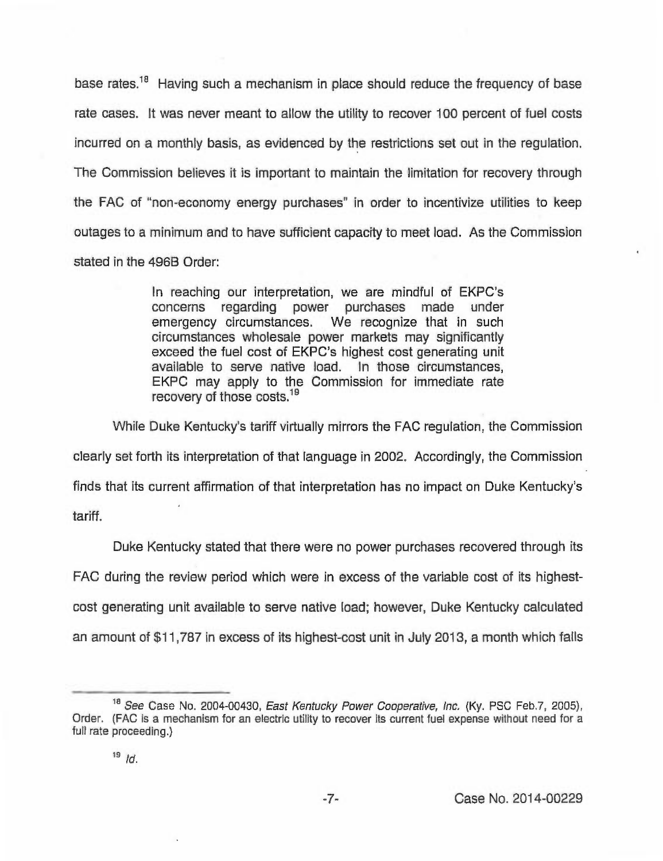base rates.<sup>18</sup> Having such a mechanism in place should reduce the frequency of base rate cases. It was never meant to allow the utility to recover 100 percent of fuel costs incurred on a monthly basis, as evidenced by the restrictions set out in the regulation. The Commission believes it is important to maintain the limitation for recovery through the FAC of "non-economy energy purchases" in order to incentivize utilities to keep outages to a minimum and to have sufficient capacity to meet load. As the Commission stated in the 496B Order:

> In reaching our interpretation, we are mindful of EKPC's concerns regarding power purchases made under emergency circumstances. We recognize that in such circumstances wholesale power markets may significantly exceed the fuel cost of EKPC's highest cost generating unit available to serve native load. In those circumstances, EKPC may apply to the Commission for immediate rate recovery of those costs.<sup>19</sup>

While Duke Kentucky's tariff virtually mirrors the FAC regulation, the Commission clearly set forth its interpretation of that language in 2002. Accordingly, the Commission finds that its current affirmation of that interpretation has no impact on Duke Kentucky's tariff.

Duke Kentucky stated that there were no power purchases recovered through its FAC during the review period which were in excess of the variable cost of its highestcost generating unit available to serve native load; however, Duke Kentucky calculated an amount of \$11,787in excess of its highest-cost unit in July 2013, a month which falls

<sup>&</sup>lt;sup>18</sup> See Case No. 2004-00430, East Kentucky Power Cooperative, Inc. (Ky. PSC Feb.7, 2005), Order. (FAC is a mechanism for an electric utility to recover its current fuel expense without need for a full rate proceeding.)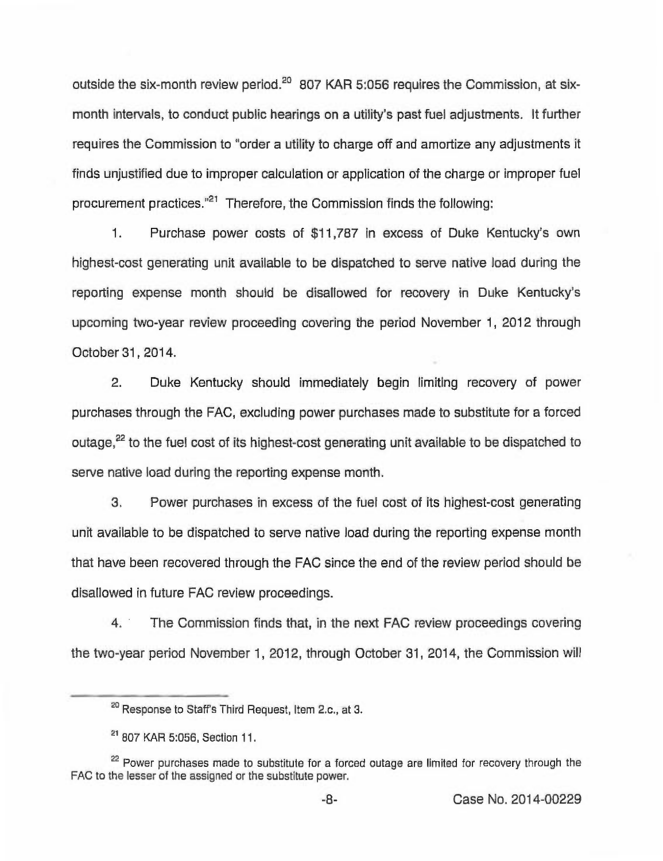outside the six-month review period.<sup>20</sup> 807 KAR 5:056 requires the Commission, at sixmonth intervals, to conduct public hearings on a utility's past fuel adjustments. It further requires the Commission to "order a utility to charge off and amortize any adjustments it finds unjustified due to improper calculation or application of the charge or improper fuel procurement practices. $"^{21}$  Therefore, the Commission finds the following:

1. Purchase power costs of \$11,787 in excess of Duke Kentucky's own highest-cost generating unit available to be dispatched to serve native load during the reporting expense month should be disallowed for recovery in Duke Kentucky's upcoming two-year review proceeding covering the period November 1, 2012 through October 31, 2014.

2, Duke Kentucky should immediately begin limiting recovery of power purchases through the FAC, excluding power purchases made to substitute for a forced outage,<sup>22</sup> to the fuel cost of its highest-cost generating unit available to be dispatched to serve native load during the reporting expense month.

3. Power purchases in excess of the fuel cost of its highest-cost generating unit available to be dispatched to serve native load during the reporting expense month that have been recovered through the FAC since the end of the review period should be disallowed in future FAC review proceedings.

4. The Commission finds that, in the next FAC review proceedings covering the two-year period November 1, 2012, through October 31, 2014, the Commission will

<sup>&</sup>lt;sup>20</sup> Response to Staff's Third Request, Item 2.c., at 3.

<sup>&</sup>lt;sup>21</sup> 807 KAR 5:056, Section 11.

<sup>&</sup>lt;sup>21</sup> 807 KAR 5:056, Section 11.<br><sup>22</sup> Power purchases made to substitute for a forced outage are limited for recovery through the FAG to the lesser of the assigned or the substitute power.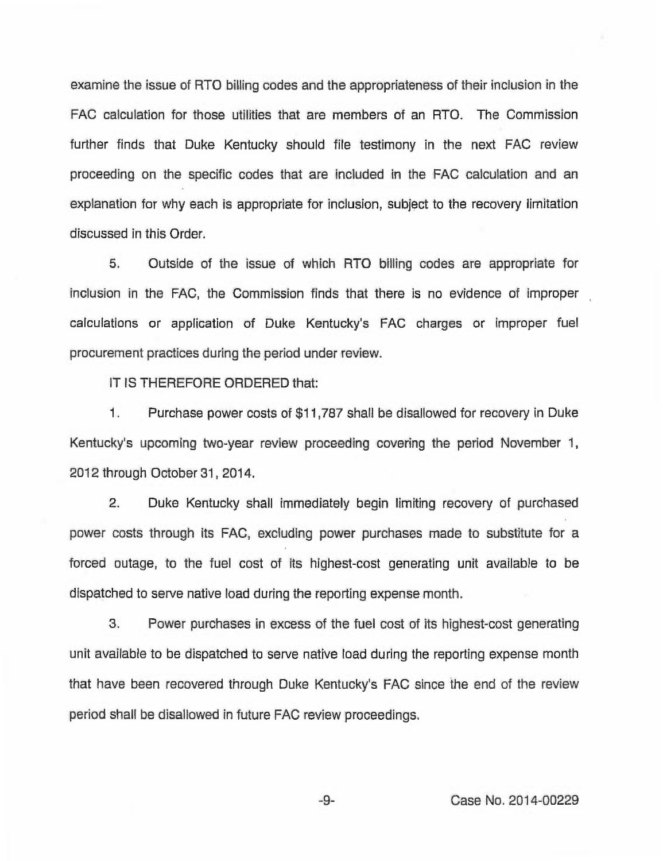examine the issue of RTO billing codes and the appropriateness of their inclusion in the FAC calculation for those utilities that are members of an RTO. The Commission further finds that Duke Kentucky should file testimony in the next FAC review proceeding on the specific codes that are included in the FAC calculation and an explanation for why each is appropriate for inclusion, subject to the recovery limitation discussed in this Order.

5. Outside of the issue of which RTO billing codes are appropriate for inclusion in the FAC, the Commission finds that there is no evidence of improper calculations or application of Duke Kentucky's FAC charges or improper fuel procurement practices during the period under review.

IT IS THEREFORE ORDERED that:

1. Purchase power costs of \$11,787 shall be disallowed for recovery in Duke Kentucky's upcoming two-year review proceeding covering the period November 1, 2012 through October 31, 2014.

2. Duke Kentucky shall immediately begin limiting recovery of purchased power costs through its FAC, excluding power purchases made to substitute for a forced outage, to the fuel cost of its highest-cost generating unit available to be dispatched to serve native load during the reporting expense month.

3. Power purchases in excess of the fuel cost of its highest-cost generating unit available to be dispatched to serve native load during the reporting expense month that have been recovered through Duke Kentucky's FAC since the end of the review period shall be disallowed in future FAC review proceedings.

 $-9-$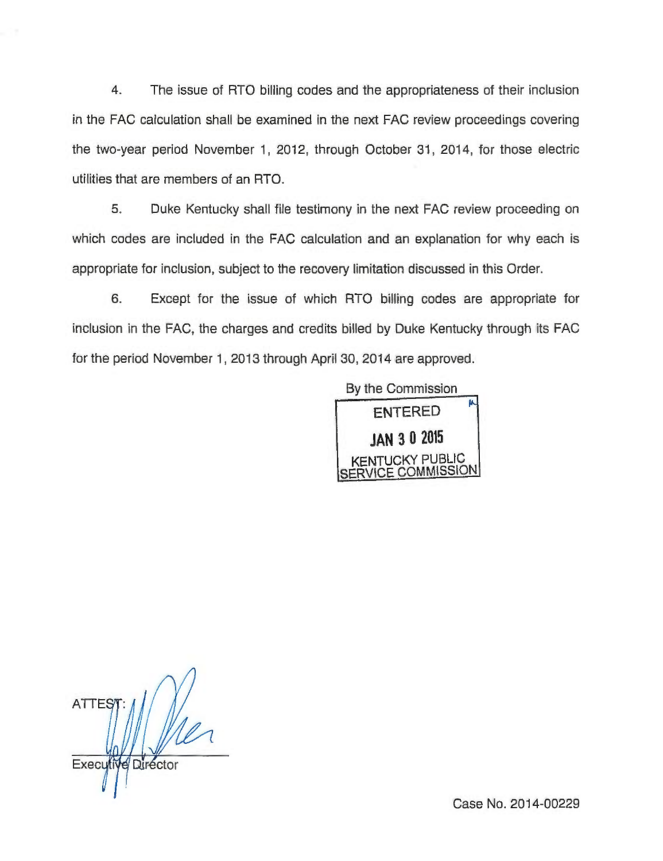4. The issue of RTO billing codes and the appropriateness of their inclusion in the FAC calculation shall be examined in the next FAC review proceedings covering the two-year period November 1, 2012, through October 31, 2014, for those electric utilities that are members of an RTO.

5. Duke Kentucky shall file testimony in the next FAC review proceeding on which codes are included in the FAC calculation and an explanation for why each is appropriate for inclusion, subject to the recovery limitation discussed in this Order.

6. Except for the issue of which RTO billing codes are appropriate for inclusion in the FAC, the charges and credits billed by Duke Kentucky through its FAC for the period November 1, 2013 through April 30, 2014 are approved.

> By the Commission **ENTERED JAN 3 0 2015**

**ATTES** Executive Director

Case No. 2014-00229